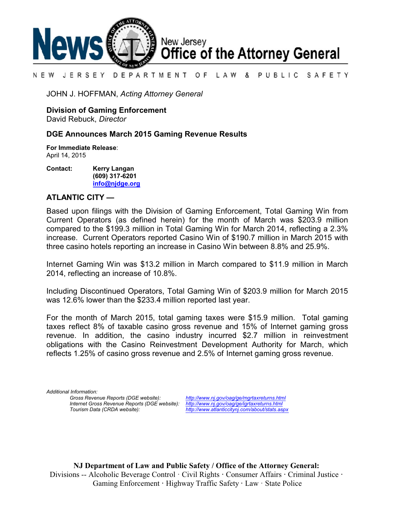

#### N E W JERSEY DEPARTMENT OF LAW & PUBLIC SAFETY

JOHN J. HOFFMAN, *Acting Attorney General*

**Division of Gaming Enforcement**

David Rebuck, *Director*

## **DGE Announces March 2015 Gaming Revenue Results**

**For Immediate Release**: April 14, 2015

**Contact: Kerry Langan (609) 317-6201 [info@njdge.org](file:///|//info@njdge.org)**

# **ATLANTIC CITY —**

Based upon filings with the Division of Gaming Enforcement, Total Gaming Win from Current Operators (as defined herein) for the month of March was \$203.9 million compared to the \$199.3 million in Total Gaming Win for March 2014, reflecting a 2.3% increase. Current Operators reported Casino Win of \$190.7 million in March 2015 with three casino hotels reporting an increase in Casino Win between 8.8% and 25.9%.

Internet Gaming Win was \$13.2 million in March compared to \$11.9 million in March 2014, reflecting an increase of 10.8%.

Including Discontinued Operators, Total Gaming Win of \$203.9 million for March 2015 was 12.6% lower than the \$233.4 million reported last year.

For the month of March 2015, total gaming taxes were \$15.9 million. Total gaming taxes reflect 8% of taxable casino gross revenue and 15% of Internet gaming gross revenue. In addition, the casino industry incurred \$2.7 million in reinvestment obligations with the Casino Reinvestment Development Authority for March, which reflects 1.25% of casino gross revenue and 2.5% of Internet gaming gross revenue.

*Additional Information: Internet Gross Revenue Reports (DGE website):*<br>Tourism Data (CRDA website):

*Gross Revenue Reports (DGE website): <http://www.nj.gov/oag/ge/mgrtaxreturns.html> Tourism Data (CRDA website): <http://www.atlanticcitynj.com/about/stats.aspx>*

**NJ Department of Law and Public Safety / Office of the Attorney General:** Divisions -- Alcoholic Beverage Control · Civil Rights **·** Consumer Affairs **·** Criminal Justice **·**  Gaming Enforcement **·** Highway Traffic Safety **·** Law · State Police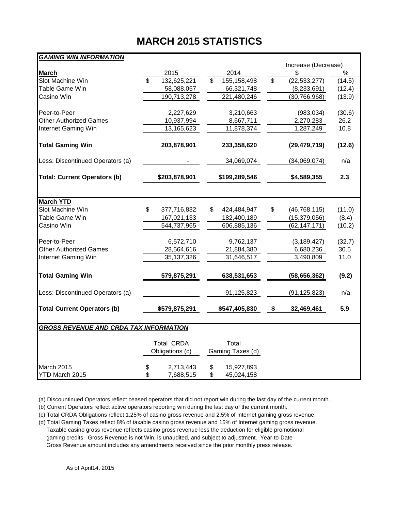# **MARCH 2015 STATISTICS**

| <b>GAMING WIN INFORMATION</b>                 |                                      |               |    |                           |    |                     |               |  |
|-----------------------------------------------|--------------------------------------|---------------|----|---------------------------|----|---------------------|---------------|--|
|                                               |                                      |               |    |                           |    | Increase (Decrease) |               |  |
| <b>March</b>                                  |                                      | 2015          |    | 2014                      |    | \$                  | $\frac{0}{6}$ |  |
| Slot Machine Win                              | \$                                   | 132,625,221   | \$ | 155,158,498               | \$ | (22, 533, 277)      | (14.5)        |  |
| Table Game Win                                |                                      | 58,088,057    |    | 66,321,748                |    | (8, 233, 691)       | (12.4)        |  |
| Casino Win                                    |                                      | 190,713,278   |    | 221,480,246               |    | (30, 766, 968)      | (13.9)        |  |
| Peer-to-Peer                                  |                                      | 2,227,629     |    | 3,210,663                 |    | (983, 034)          | (30.6)        |  |
| <b>Other Authorized Games</b>                 |                                      | 10,937,994    |    | 8,667,711                 |    | 2,270,283           | 26.2          |  |
| Internet Gaming Win                           |                                      | 13,165,623    |    | 11,878,374                |    | 1,287,249           | 10.8          |  |
| <b>Total Gaming Win</b>                       |                                      | 203,878,901   |    | 233,358,620               |    | (29,479,719)        | (12.6)        |  |
| Less: Discontinued Operators (a)              |                                      |               |    | 34,069,074                |    | (34,069,074)        | n/a           |  |
| <b>Total: Current Operators (b)</b>           |                                      | \$203,878,901 |    | \$199,289,546             |    | \$4,589,355         | 2.3           |  |
|                                               |                                      |               |    |                           |    |                     |               |  |
| <b>March YTD</b>                              |                                      |               |    |                           |    |                     |               |  |
| Slot Machine Win                              | \$                                   | 377,716,832   | \$ | 424,484,947               | \$ | (46, 768, 115)      | (11.0)        |  |
| Table Game Win                                |                                      | 167,021,133   |    | 182,400,189               |    | (15, 379, 056)      | (8.4)         |  |
| Casino Win                                    |                                      | 544,737,965   |    | 606,885,136               |    | (62, 147, 171)      | (10.2)        |  |
| Peer-to-Peer                                  |                                      | 6,572,710     |    | 9,762,137                 |    | (3, 189, 427)       | (32.7)        |  |
| <b>Other Authorized Games</b>                 |                                      | 28,564,616    |    | 21,884,380                |    | 6,680,236           | 30.5          |  |
| Internet Gaming Win                           |                                      | 35,137,326    |    | 31,646,517                |    | 3,490,809           | 11.0          |  |
| <b>Total Gaming Win</b>                       |                                      | 579,875,291   |    | 638,531,653               |    | (58, 656, 362)      | (9.2)         |  |
| Less: Discontinued Operators (a)              |                                      |               |    | 91,125,823                |    | (91, 125, 823)      | n/a           |  |
| <b>Total Current Operators (b)</b>            |                                      | \$579,875,291 |    | \$547,405,830             | \$ | 32,469,461          | 5.9           |  |
| <b>GROSS REVENUE AND CRDA TAX INFORMATION</b> |                                      |               |    |                           |    |                     |               |  |
|                                               |                                      |               |    |                           |    |                     |               |  |
|                                               | <b>Total CRDA</b><br>Obligations (c) |               |    | Total<br>Gaming Taxes (d) |    |                     |               |  |
|                                               |                                      |               |    |                           |    |                     |               |  |
| March 2015                                    | \$                                   | 2,713,443     | \$ | 15,927,893                |    |                     |               |  |
| YTD March 2015                                | \$                                   | 7,688,515     | \$ | 45,024,158                |    |                     |               |  |

(a) Discountinued Operators reflect ceased operators that did not report win during the last day of the current month.

(b) Current Operators reflect active operators reporting win during the last day of the current month.

(c) Total CRDA Obligations reflect 1.25% of casino gross revenue and 2.5% of Internet gaming gross revenue.

(d) Total Gaming Taxes reflect 8% of taxable casino gross revenue and 15% of Internet gaming gross revenue. Taxable casino gross revenue reflects casino gross revenue less the deduction for eligible promotional gaming credits. Gross Revenue is not Win, is unaudited, and subject to adjustment. Year-to-Date Gross Revenue amount includes any amendments received since the prior monthly press release.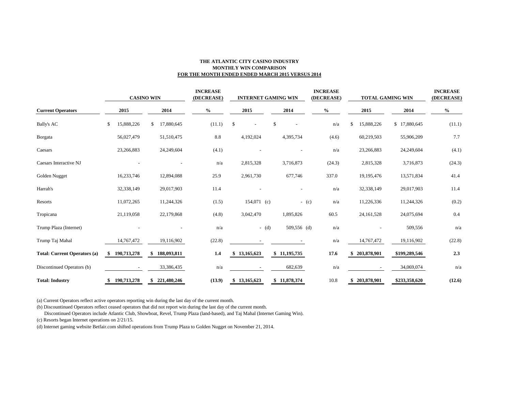### **THE ATLANTIC CITY CASINO INDUSTRY MONTHLY WIN COMPARISON FOR THE MONTH ENDED ENDED MARCH 2015 VERSUS 2014**

| <b>Current Operators</b>            | <b>CASINO WIN</b> |                   | <b>INCREASE</b><br>(DECREASE) |                                          | <b>INTERNET GAMING WIN</b> | <b>INCREASE</b><br>(DECREASE) | <b>TOTAL GAMING WIN</b> |               | <b>INCREASE</b><br>(DECREASE) |
|-------------------------------------|-------------------|-------------------|-------------------------------|------------------------------------------|----------------------------|-------------------------------|-------------------------|---------------|-------------------------------|
|                                     | 2015              | 2014              | $\%$                          | 2015                                     | 2014                       | $\%$                          | 2015                    | 2014          | $\%$                          |
| <b>Bally's AC</b>                   | \$<br>15,888,226  | 17,880,645<br>\$  | (11.1)                        | $\mathbb{S}$<br>$\overline{\phantom{a}}$ | $\mathbb{S}$               | n/a                           | \$<br>15,888,226        | \$17,880,645  | (11.1)                        |
| Borgata                             | 56,027,479        | 51,510,475        | 8.8                           | 4,192,024                                | 4,395,734                  | (4.6)                         | 60,219,503              | 55,906,209    | 7.7                           |
| Caesars                             | 23,266,883        | 24,249,604        | (4.1)                         |                                          | $\overline{\phantom{a}}$   | n/a                           | 23,266,883              | 24,249,604    | (4.1)                         |
| Caesars Interactive NJ              |                   |                   | n/a                           | 2,815,328                                | 3,716,873                  | (24.3)                        | 2,815,328               | 3,716,873     | (24.3)                        |
| Golden Nugget                       | 16,233,746        | 12,894,088        | 25.9                          | 2,961,730                                | 677,746                    | 337.0                         | 19,195,476              | 13,571,834    | 41.4                          |
| Harrah's                            | 32,338,149        | 29,017,903        | 11.4                          |                                          | $\overline{a}$             | n/a                           | 32,338,149              | 29,017,903    | 11.4                          |
| Resorts                             | 11,072,265        | 11,244,326        | (1.5)                         | $154,071$ (c)                            | $-$ (c)                    | n/a                           | 11,226,336              | 11,244,326    | (0.2)                         |
| Tropicana                           | 21,119,058        | 22,179,868        | (4.8)                         | 3,042,470                                | 1,895,826                  | 60.5                          | 24, 161, 528            | 24,075,694    | 0.4                           |
| Trump Plaza (Internet)              |                   |                   | n/a                           | $-$ (d)                                  | 509,556 (d)                | n/a                           |                         | 509,556       | n/a                           |
| Trump Taj Mahal                     | 14,767,472        | 19,116,902        | (22.8)                        |                                          |                            | n/a                           | 14,767,472              | 19,116,902    | (22.8)                        |
| <b>Total: Current Operators (a)</b> | 190,713,278       | 188,093,811<br>\$ | 1.4                           | \$13,165,623                             | \$11,195,735               | 17.6                          | 203,878,901             | \$199,289,546 | 2.3                           |
| Discontinued Operators (b)          |                   | 33,386,435        | n/a                           |                                          | 682,639                    | n/a                           |                         | 34,069,074    | n/a                           |
| <b>Total: Industry</b>              | 190,713,278<br>\$ | \$221,480,246     | (13.9)                        | \$13,165,623                             | \$11,878,374               | 10.8                          | \$203,878,901           | \$233,358,620 | (12.6)                        |

(a) Current Operators reflect active operators reporting win during the last day of the current month.

(b) Discountinued Operators reflect ceased operators that did not report win during the last day of the current month.

Discontinued Operators include Atlantic Club, Showboat, Revel, Trump Plaza (land-based), and Taj Mahal (Internet Gaming Win).

(c) Resorts began Internet operations on 2/21/15.

(d) Internet gaming website Betfair.com shifted operations from Trump Plaza to Golden Nugget on November 21, 2014.